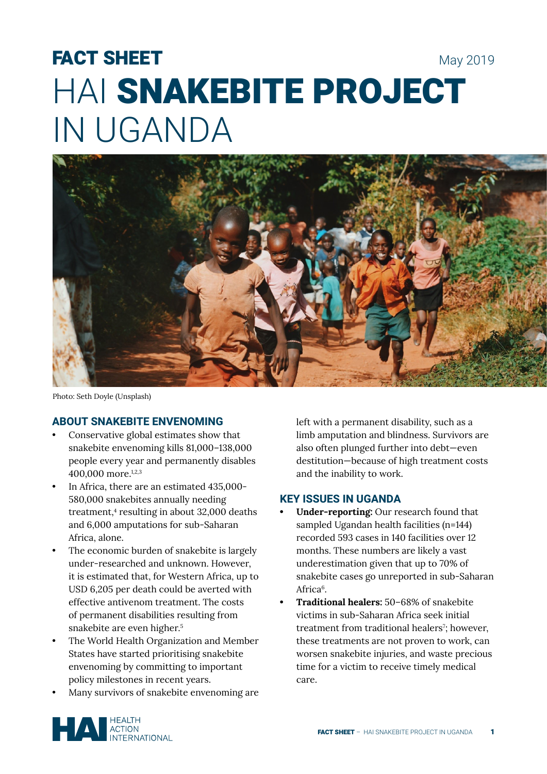# FACT SHEET May 2019 HAI SNAKEBITE PROJECT IN UGANDA



Photo: Seth Doyle (Unsplash)

# **ABOUT SNAKEBITE ENVENOMING**

- Conservative global estimates show that snakebite envenoming kills 81,000–138,000 people every year and permanently disables 400,000 more.1,2,3
- In Africa, there are an estimated 435,000- 580,000 snakebites annually needing treatment,4 resulting in about 32,000 deaths and 6,000 amputations for sub-Saharan Africa, alone.
- The economic burden of snakebite is largely under-researched and unknown. However, it is estimated that, for Western Africa, up to USD 6,205 per death could be averted with effective antivenom treatment. The costs of permanent disabilities resulting from snakebite are even higher.<sup>5</sup>
- The World Health Organization and Member States have started prioritising snakebite envenoming by committing to important policy milestones in recent years.
- Many survivors of snakebite envenoming are

left with a permanent disability, such as a limb amputation and blindness. Survivors are also often plunged further into debt—even destitution—because of high treatment costs and the inability to work.

## **KEY ISSUES IN UGANDA**

- **• Under-reporting:** Our research found that sampled Ugandan health facilities (n=144) recorded 593 cases in 140 facilities over 12 months. These numbers are likely a vast underestimation given that up to 70% of snakebite cases go unreported in sub-Saharan Africa<sup>6</sup>.
- **• Traditional healers:** 50–68% of snakebite victims in sub-Saharan Africa seek initial treatment from traditional healers<sup>7</sup>; however, these treatments are not proven to work, can worsen snakebite injuries, and waste precious time for a victim to receive timely medical care.